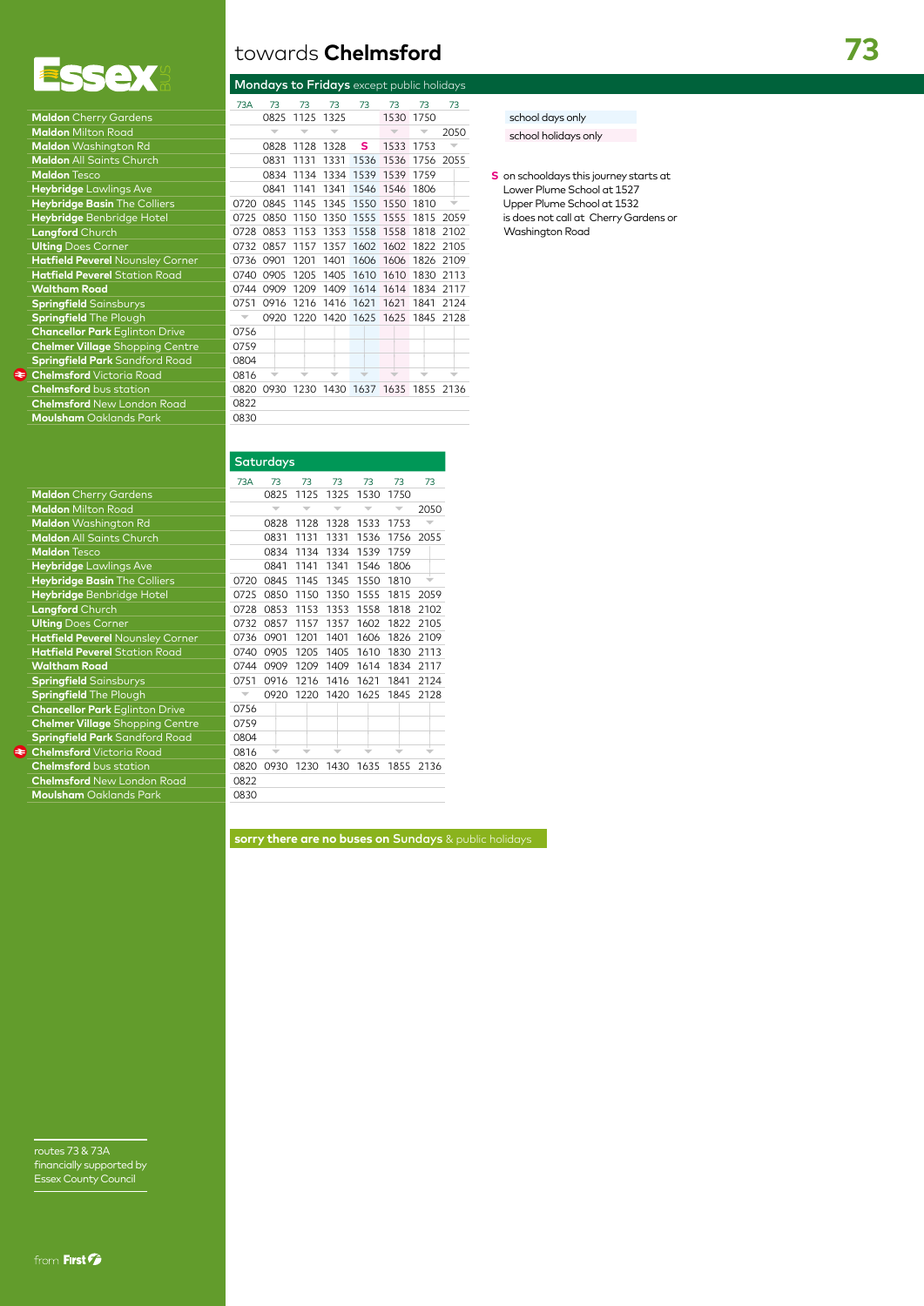

| <b>Maldon</b> Cherry Gardens            |      |
|-----------------------------------------|------|
| <b>Maldon</b> Milton Road               |      |
| Maldon Washington Rd                    |      |
| <b>Maldon All Saints Church</b>         |      |
| <b>Maldon Tesco</b>                     |      |
| Heybridge Lawlings Ave                  |      |
| Heybridge Basin The Colliers            | 0720 |
| Heybridge Benbridge Hotel               | 0725 |
| Langford Church                         | 0728 |
| <b>Ulting Does Corner</b>               | 0732 |
| <b>Hatfield Peverel Nounsley Corner</b> | 0736 |
| <b>Hatfield Peverel Station Road</b>    | 0740 |
| <b>Waltham Road</b>                     | 0744 |
| <b>Springfield Sainsburys</b>           | 0751 |
| <b>Springfield</b> The Plough           |      |
| <b>Chancellor Park Eglinton Drive</b>   | 0756 |
| <b>Chelmer Village Shopping Centre</b>  | 0759 |
| <b>Springfield Park</b> Sandford Road   | 0804 |
| <b>Chelmsford</b> Victoria Road<br>L    | 0816 |
| <b>Chelmsford</b> bus station           | 0820 |
| <b>Chelmsford</b> New London Road       | 0822 |
| <b>Moulsham</b> Oaklands Park           | 0830 |
|                                         |      |

| towards <b>Chelmsford</b> |  |  |
|---------------------------|--|--|
|                           |  |  |

| $\blacksquare$                         |                          |                          |           |                |      | <b>Mondays to Fridays</b> except public holidays |      |      |
|----------------------------------------|--------------------------|--------------------------|-----------|----------------|------|--------------------------------------------------|------|------|
|                                        | 73A                      | 73                       | 73        | 73             | 73   | 73                                               | 73   | 73   |
| <b>Maldon</b> Cherry Gardens           |                          | 0825                     | 1125 1325 |                |      | 1530 1750                                        |      |      |
| <b>Maldon</b> Milton Road              |                          | $\overline{\phantom{a}}$ |           |                |      |                                                  |      | 2050 |
| Maldon Washington Rd                   |                          | 0828                     |           | 1128 1328      | s    | 1533 1753                                        |      |      |
| <b>Maldon All Saints Church</b>        |                          | 0831                     | 1131      | 1331           |      | 1536 1536 1756 2055                              |      |      |
| <b>Maldon Tesco</b>                    |                          | 0834                     | 1134      |                |      | 1334 1539 1539 1759                              |      |      |
| Heybridge Lawlings Ave                 |                          | 0841                     | 1141      | 1341           |      | 1546 1546 1806                                   |      |      |
| Heybridge Basin The Colliers           | 0720                     | 0845                     |           |                |      | 1145 1345 1550 1550 1810                         |      |      |
| Heybridge Benbridge Hotel              | 0725                     | 0850                     |           |                |      | 1150 1350 1555 1555 1815 2059                    |      |      |
| Langford Church                        | 0728                     | 0853                     |           |                |      | 1153 1353 1558 1558 1818                         |      | 2102 |
| <b>Ulting Does Corner</b>              | 0732                     | 0857                     | 1157      |                |      | 1357 1602 1602 1822 2105                         |      |      |
| Hatfield Peverel Nounsley Corner       | 0736                     | 0901                     | 1201      | 1401           |      | 1606 1606 1826 2109                              |      |      |
| <b>Hatfield Peverel Station Road</b>   | 0740                     | 0905                     | 1205      | 1405           | 1610 | 1610 1830                                        |      | 2113 |
| <b>Waltham Road</b>                    | 0744                     | 0909                     | 1209      |                |      | 1409 1614 1614 1834 2117                         |      |      |
| <b>Springfield</b> Sainsburys          | 0751                     | 0916                     |           | 1216 1416 1621 |      | 1621                                             | 1841 | 2124 |
| Springfield The Plough                 | $\overline{\phantom{a}}$ | 0920                     |           |                |      | 1220 1420 1625 1625 1845 2128                    |      |      |
| <b>Chancellor Park Eglinton Drive</b>  | 0756                     |                          |           |                |      |                                                  |      |      |
| <b>Chelmer Village</b> Shopping Centre | 0759                     |                          |           |                |      |                                                  |      |      |
| <b>Springfield Park</b> Sandford Road  | 0804                     |                          |           |                |      |                                                  |      |      |
| <b>Chelmsford</b> Victoria Road        | 0816                     |                          |           |                |      |                                                  |      |      |
| <b>Chelmsford</b> bus station          | 0820                     |                          |           |                |      | 0930 1230 1430 1637 1635 1855 2136               |      |      |
| <b>Chelmsford</b> New London Road      | 0822                     |                          |           |                |      |                                                  |      |      |
| <b>Moulsham</b> Oaklands Park          | 0830                     |                          |           |                |      |                                                  |      |      |

| Saturaays                              |      |      |                          |      |      |      |      |
|----------------------------------------|------|------|--------------------------|------|------|------|------|
|                                        | 73A  | 73   | 73                       | 73   | 73   | 73   | 73   |
| <b>Maldon</b> Cherry Gardens           |      | 0825 | 1125                     | 1325 | 1530 | 1750 |      |
| <b>Maldon</b> Milton Road              |      |      | $\overline{\phantom{a}}$ |      |      |      | 2050 |
| Maldon Washington Rd                   |      | 0828 | 1128                     | 1328 | 1533 | 1753 |      |
| Maldon All Saints Church               |      | 0831 | 1131                     | 1331 | 1536 | 1756 | 2055 |
| <b>Maldon Tesco</b>                    |      | 0834 | 1134                     | 1334 | 1539 | 1759 |      |
| Heybridge Lawlings Ave                 |      | 0841 | 1141                     | 1341 | 1546 | 1806 |      |
| Heybridge Basin The Colliers           | 0720 | 0845 | 1145                     | 1345 | 1550 | 1810 | ÷    |
| Heybridge Benbridge Hotel              | 0725 | 0850 | 1150                     | 1350 | 1555 | 1815 | 2059 |
| <b>Langford</b> Church                 | 0728 | 0853 | 1153                     | 1353 | 1558 | 1818 | 2102 |
| <b>Ulting Does Corner</b>              | 0732 | 0857 | 1157                     | 1357 | 1602 | 1822 | 2105 |
| Hatfield Peverel Nounsley Corner       | 0736 | 0901 | 1201                     | 1401 | 1606 | 1826 | 2109 |
| <b>Hatfield Peverel</b> Station Road   | 0740 | 0905 | 1205                     | 1405 | 1610 | 1830 | 2113 |
| <b>Waltham Road</b>                    | 0744 | 0909 | 1209                     | 1409 | 1614 | 1834 | 2117 |
| <b>Springfield Sainsburys</b>          | 0751 | 0916 | 1216                     | 1416 | 1621 | 1841 | 2124 |
| Springfield The Plough                 |      | 0920 | 1220                     | 1420 | 1625 | 1845 | 2128 |
| <b>Chancellor Park Eglinton Drive</b>  | 0756 |      |                          |      |      |      |      |
| <b>Chelmer Village Shopping Centre</b> | 0759 |      |                          |      |      |      |      |
| <b>Springfield Park</b> Sandford Road  | 0804 |      |                          |      |      |      |      |
| <b>Chelmsford</b> Victoria Road        | 0816 |      |                          |      |      |      |      |
| <b>Chelmsford</b> bus station          | 0820 | 0930 | 1230                     | 1430 | 1635 | 1855 | 2136 |
| <b>Chelmsford</b> New London Road      | 0822 |      |                          |      |      |      |      |
| <b>Moulsham</b> Oaklands Park          | 0830 |      |                          |      |      |      |      |
|                                        |      |      |                          |      |      |      |      |

school days only school holidays only

Washington Road

**S** on schooldays this journey starts at Lower Plume School at 1527 Upper Plume School at 1532 is does not call at Cherry Gardens or

|      | <b>Saturdays</b>         |      |                          |                          |      |                          |
|------|--------------------------|------|--------------------------|--------------------------|------|--------------------------|
| 73A  | 73                       | 73   | 73                       | 73                       | 73   | 73                       |
|      | 0825                     | 1125 | 1325                     | 1530                     | 1750 |                          |
|      | $\overline{\phantom{a}}$ |      | $\overline{\phantom{a}}$ | $\overline{\phantom{a}}$ |      | 2050                     |
|      | 0828                     | 1128 | 1328                     | 1533                     | 1753 | $\overline{\phantom{a}}$ |
|      | 0831                     | 1131 | 1331                     | 1536                     | 1756 | 2055                     |
|      | 0834                     | 1134 | 1334                     | 1539                     | 1759 |                          |
|      | 0841                     | 1141 | 1341                     | 1546                     | 1806 |                          |
| 0720 | 0845                     | 1145 | 1345                     | 1550                     | 1810 |                          |
| 0725 | 0850                     | 1150 | 1350                     | 1555                     | 1815 | 2059                     |
| 0728 | 0853                     | 1153 | 1353                     | 1558                     | 1818 | 2102                     |
| 0732 | 0857                     | 1157 | 1357                     | 1602                     | 1822 | 2105                     |
| 0736 | 0901                     | 1201 | 1401                     | 1606                     | 1826 | 2109                     |
| 0740 | 0905                     | 1205 | 1405                     | 1610                     | 1830 | 2113                     |
| 0744 | 0909                     | 1209 | 1409                     | 1614                     | 1834 | 2117                     |
| 0751 | 0916                     | 1216 | 1416                     | 1621                     | 1841 | 2124                     |
|      | 0920                     | 1220 | 1420                     | 1625                     | 1845 | 2128                     |
| 0756 |                          |      |                          |                          |      |                          |
| 0759 |                          |      |                          |                          |      |                          |
| 0804 |                          |      |                          |                          |      |                          |
| 0816 |                          |      |                          |                          |      |                          |
| 0820 | 0930                     | 1230 | 1430                     | 1635                     | 1855 | 2136                     |
| 0822 |                          |      |                          |                          |      |                          |
|      |                          |      |                          |                          |      |                          |

**sorry there are no buses on** Sundays & public holidays

routes 73 & 73A financially supported by Essex County Council

**Waltham** 

## **73**